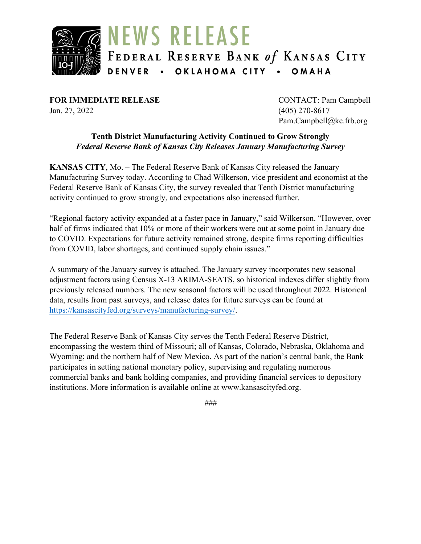

**FOR IMMEDIATE RELEASE** CONTACT: Pam Campbell Jan. 27, 2022 (405) 270-8617

Pam.Campbell@kc.frb.org

#### **Tenth District Manufacturing Activity Continued to Grow Strongly** *Federal Reserve Bank of Kansas City Releases January Manufacturing Survey*

**KANSAS CITY**, Mo. – The Federal Reserve Bank of Kansas City released the January Manufacturing Survey today. According to Chad Wilkerson, vice president and economist at the Federal Reserve Bank of Kansas City, the survey revealed that Tenth District manufacturing activity continued to grow strongly, and expectations also increased further.

"Regional factory activity expanded at a faster pace in January," said Wilkerson. "However, over half of firms indicated that 10% or more of their workers were out at some point in January due to COVID. Expectations for future activity remained strong, despite firms reporting difficulties from COVID, labor shortages, and continued supply chain issues."

A summary of the January survey is attached. The January survey incorporates new seasonal adjustment factors using Census X-13 ARIMA-SEATS, so historical indexes differ slightly from previously released numbers. The new seasonal factors will be used throughout 2022. Historical data, results from past surveys, and release dates for future surveys can be found at [https://kansascityfed.org/surveys/manufacturing-survey/.](https://kansascityfed.org/surveys/manufacturing-survey/)

The Federal Reserve Bank of Kansas City serves the Tenth Federal Reserve District, encompassing the western third of Missouri; all of Kansas, Colorado, Nebraska, Oklahoma and Wyoming; and the northern half of New Mexico. As part of the nation's central bank, the Bank participates in setting national monetary policy, supervising and regulating numerous commercial banks and bank holding companies, and providing financial services to depository institutions. More information is available online at www.kansascityfed.org.

*###*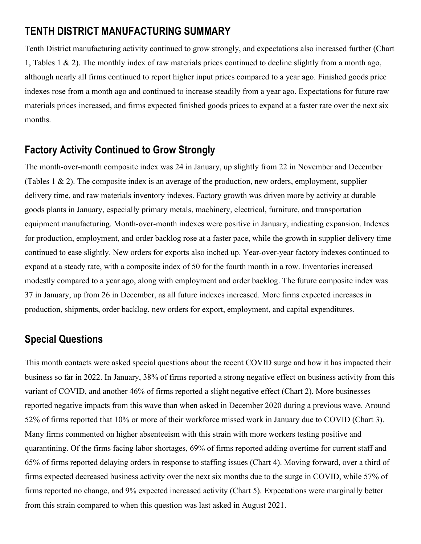# **TENTH DISTRICT MANUFACTURING SUMMARY**

Tenth District manufacturing activity continued to grow strongly, and expectations also increased further (Chart 1, Tables 1 & 2). The monthly index of raw materials prices continued to decline slightly from a month ago, although nearly all firms continued to report higher input prices compared to a year ago. Finished goods price indexes rose from a month ago and continued to increase steadily from a year ago. Expectations for future raw materials prices increased, and firms expected finished goods prices to expand at a faster rate over the next six months.

## **Factory Activity Continued to Grow Strongly**

The month-over-month composite index was 24 in January, up slightly from 22 in November and December (Tables 1 & 2). The composite index is an average of the production, new orders, employment, supplier delivery time, and raw materials inventory indexes. Factory growth was driven more by activity at durable goods plants in January, especially primary metals, machinery, electrical, furniture, and transportation equipment manufacturing. Month-over-month indexes were positive in January, indicating expansion. Indexes for production, employment, and order backlog rose at a faster pace, while the growth in supplier delivery time continued to ease slightly. New orders for exports also inched up. Year-over-year factory indexes continued to expand at a steady rate, with a composite index of 50 for the fourth month in a row. Inventories increased modestly compared to a year ago, along with employment and order backlog. The future composite index was 37 in January, up from 26 in December, as all future indexes increased. More firms expected increases in production, shipments, order backlog, new orders for export, employment, and capital expenditures.

# **Special Questions**

This month contacts were asked special questions about the recent COVID surge and how it has impacted their business so far in 2022. In January, 38% of firms reported a strong negative effect on business activity from this variant of COVID, and another 46% of firms reported a slight negative effect (Chart 2). More businesses reported negative impacts from this wave than when asked in December 2020 during a previous wave. Around 52% of firms reported that 10% or more of their workforce missed work in January due to COVID (Chart 3). Many firms commented on higher absenteeism with this strain with more workers testing positive and quarantining. Of the firms facing labor shortages, 69% of firms reported adding overtime for current staff and 65% of firms reported delaying orders in response to staffing issues (Chart 4). Moving forward, over a third of firms expected decreased business activity over the next six months due to the surge in COVID, while 57% of firms reported no change, and 9% expected increased activity (Chart 5). Expectations were marginally better from this strain compared to when this question was last asked in August 2021.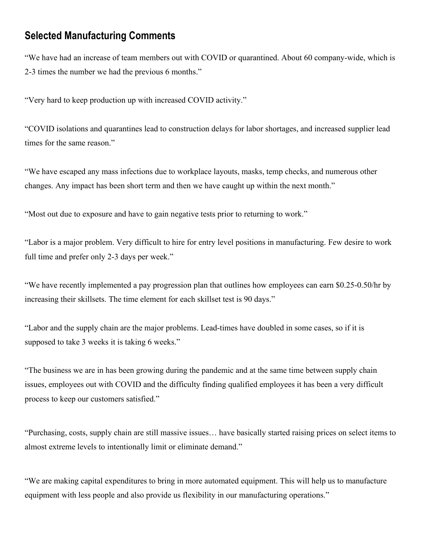## **Selected Manufacturing Comments**

"We have had an increase of team members out with COVID or quarantined. About 60 company-wide, which is 2-3 times the number we had the previous 6 months."

"Very hard to keep production up with increased COVID activity."

"COVID isolations and quarantines lead to construction delays for labor shortages, and increased supplier lead times for the same reason."

"We have escaped any mass infections due to workplace layouts, masks, temp checks, and numerous other changes. Any impact has been short term and then we have caught up within the next month."

"Most out due to exposure and have to gain negative tests prior to returning to work."

"Labor is a major problem. Very difficult to hire for entry level positions in manufacturing. Few desire to work full time and prefer only 2-3 days per week."

"We have recently implemented a pay progression plan that outlines how employees can earn \$0.25-0.50/hr by increasing their skillsets. The time element for each skillset test is 90 days."

"Labor and the supply chain are the major problems. Lead-times have doubled in some cases, so if it is supposed to take 3 weeks it is taking 6 weeks."

"The business we are in has been growing during the pandemic and at the same time between supply chain issues, employees out with COVID and the difficulty finding qualified employees it has been a very difficult process to keep our customers satisfied."

"Purchasing, costs, supply chain are still massive issues… have basically started raising prices on select items to almost extreme levels to intentionally limit or eliminate demand."

"We are making capital expenditures to bring in more automated equipment. This will help us to manufacture equipment with less people and also provide us flexibility in our manufacturing operations."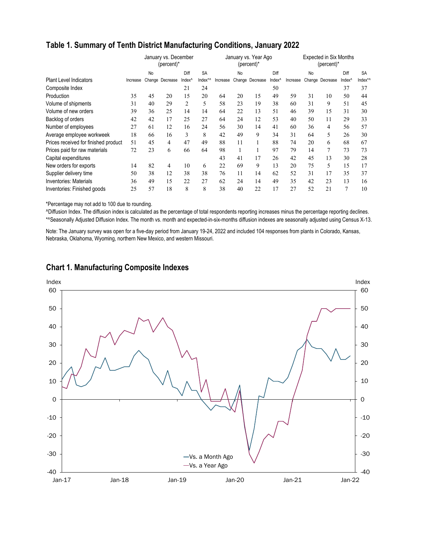|                                      |          |    | January vs. December<br>(percent)* |                    |           | January vs. Year Ago<br>(percent)* |    |                 |                    | <b>Expected in Six Months</b><br>(percent)* |    |                 |                    |           |  |
|--------------------------------------|----------|----|------------------------------------|--------------------|-----------|------------------------------------|----|-----------------|--------------------|---------------------------------------------|----|-----------------|--------------------|-----------|--|
|                                      |          | No |                                    | Diff               | <b>SA</b> |                                    | No |                 | Diff               |                                             | No |                 | Diff               | <b>SA</b> |  |
| <b>Plant Level Indicators</b>        | Increase |    | Change Decrease                    | Index <sup>^</sup> | Index*^   | Increase                           |    | Change Decrease | Index <sup>^</sup> | Increase                                    |    | Change Decrease | Index <sup>^</sup> | Index*/   |  |
| Composite Index                      |          |    |                                    | 21                 | 24        |                                    |    |                 | 50                 |                                             |    |                 | 37                 | 37        |  |
| <b>Production</b>                    | 35       | 45 | 20                                 | 15                 | 20        | 64                                 | 20 | 15              | 49                 | 59                                          | 31 | 10              | 50                 | 44        |  |
| Volume of shipments                  | 31       | 40 | 29                                 | 2                  | 5         | 58                                 | 23 | 19              | 38                 | 60                                          | 31 | 9               | 51                 | 45        |  |
| Volume of new orders                 | 39       | 36 | 25                                 | 14                 | 14        | 64                                 | 22 | 13              | 51                 | 46                                          | 39 | 15              | 31                 | 30        |  |
| Backlog of orders                    | 42       | 42 | 17                                 | 25                 | 27        | 64                                 | 24 | 12              | 53                 | 40                                          | 50 | 11              | 29                 | 33        |  |
| Number of employees                  | 27       | 61 | 12                                 | 16                 | 24        | 56                                 | 30 | 14              | 41                 | 60                                          | 36 | 4               | 56                 | 57        |  |
| Average employee workweek            | 18       | 66 | 16                                 | 3                  | 8         | 42                                 | 49 | 9               | 34                 | 31                                          | 64 | 5               | 26                 | 30        |  |
| Prices received for finished product | 51       | 45 | 4                                  | 47                 | 49        | 88                                 | 11 |                 | 88                 | 74                                          | 20 | 6               | 68                 | 67        |  |
| Prices paid for raw materials        | 72       | 23 | 6                                  | 66                 | 64        | 98                                 |    |                 | 97                 | 79                                          | 14 | 7               | 73                 | 73        |  |
| Capital expenditures                 |          |    |                                    |                    |           | 43                                 | 41 | 17              | 26                 | 42                                          | 45 | 13              | 30                 | 28        |  |
| New orders for exports               | 14       | 82 | 4                                  | 10                 | 6         | 22                                 | 69 | 9               | 13                 | 20                                          | 75 | 5               | 15                 | 17        |  |
| Supplier delivery time               | 50       | 38 | 12                                 | 38                 | 38        | 76                                 | 11 | 14              | 62                 | 52                                          | 31 | 17              | 35                 | 37        |  |
| <b>Inventories: Materials</b>        | 36       | 49 | 15                                 | 22                 | 27        | 62                                 | 24 | 14              | 49                 | 35                                          | 42 | 23              | 13                 | 16        |  |
| Inventories: Finished goods          | 25       | 57 | 18                                 | 8                  | 8         | 38                                 | 40 | 22              | 17                 | 27                                          | 52 | 21              | 7                  | 10        |  |

### **Table 1. Summary of Tenth District Manufacturing Conditions, January 2022**

\*Percentage may not add to 100 due to rounding.

^Diffusion Index. The diffusion index is calculated as the percentage of total respondents reporting increases minus the percentage reporting declines. \*^Seasonally Adjusted Diffusion Index. The month vs. month and expected-in-six-months diffusion indexes are seasonally adjusted using Census X-13.

Note: The January survey was open for a five-day period from January 19-24, 2022 and included 104 responses from plants in Colorado, Kansas, Nebraska, Oklahoma, Wyoming, northern New Mexico, and western Missouri.



#### **Chart 1. Manufacturing Composite Indexes**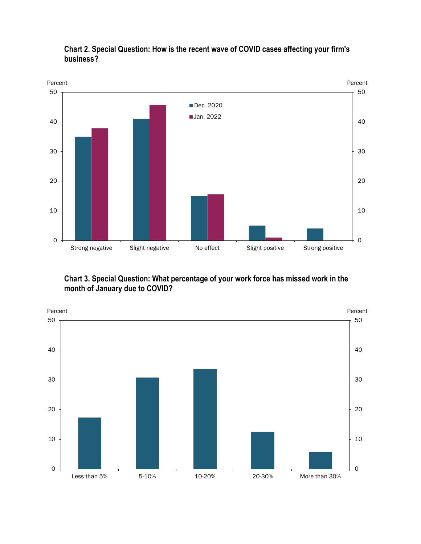



### **Chart 3. Special Question: What percentage of your work force has missed work in the month of January due to COVID?**

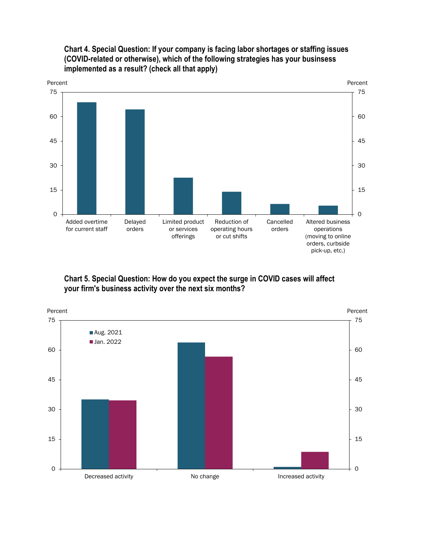

**Chart 4. Special Question: If your company is facing labor shortages or staffing issues (COVID-related or otherwise), which of the following strategies has your businsess implemented as a result? (check all that apply)**

**Chart 5. Special Question: How do you expect the surge in COVID cases will affect your firm's business activity over the next six months?**